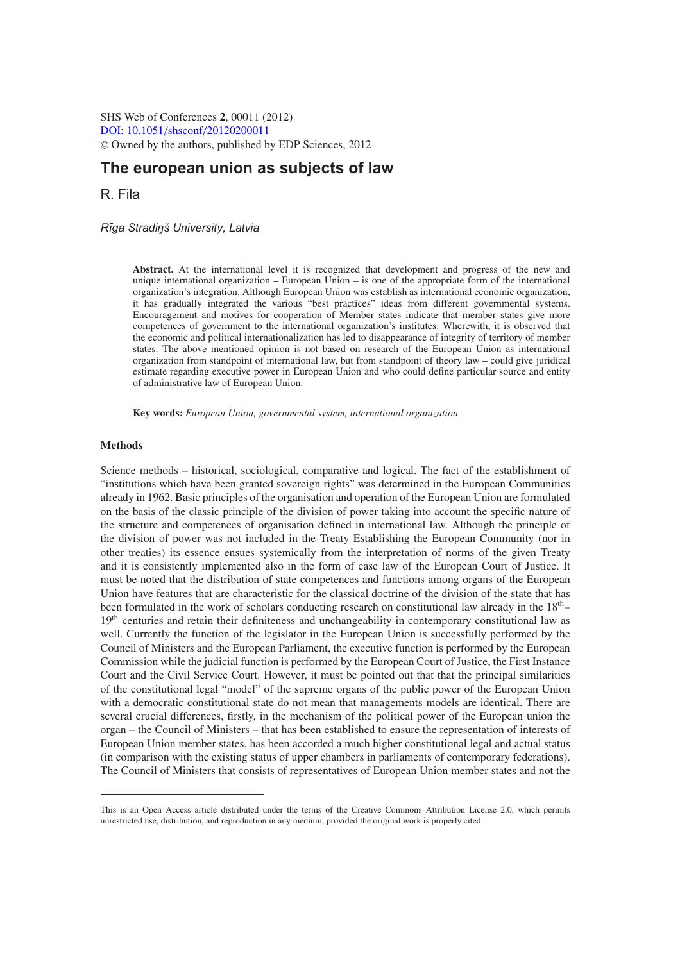SHS Web of Conferences **2**, 00011 (2012) [DOI: 10.1051](http://dx.doi.org/10.1051/shsconf/20120200011)/shsconf/20120200011 <sup>C</sup> Owned by the authors, published by EDP Sciences, 2012

# **The european union as subjects of law**

R. Fila

*R¯ıga Stradin¸ š University, Latvia*

**Abstract.** At the international level it is recognized that development and progress of the new and unique international organization – European Union – is one of the appropriate form of the international organization's integration. Although European Union was establish as international economic organization, it has gradually integrated the various "best practices" ideas from different governmental systems. Encouragement and motives for cooperation of Member states indicate that member states give more competences of government to the international organization's institutes. Wherewith, it is observed that the economic and political internationalization has led to disappearance of integrity of territory of member states. The above mentioned opinion is not based on research of the European Union as international organization from standpoint of international law, but from standpoint of theory law – could give juridical estimate regarding executive power in European Union and who could define particular source and entity of administrative law of European Union.

**Key words:** *European Union, governmental system, international organization*

## **Methods**

Science methods – historical, sociological, comparative and logical. The fact of the establishment of "institutions which have been granted sovereign rights" was determined in the European Communities already in 1962. Basic principles of the organisation and operation of the European Union are formulated on the basis of the classic principle of the division of power taking into account the specific nature of the structure and competences of organisation defined in international law. Although the principle of the division of power was not included in the Treaty Establishing the European Community (nor in other treaties) its essence ensues systemically from the interpretation of norms of the given Treaty and it is consistently implemented also in the form of case law of the European Court of Justice. It must be noted that the distribution of state competences and functions among organs of the European Union have features that are characteristic for the classical doctrine of the division of the state that has been formulated in the work of scholars conducting research on constitutional law already in the  $18<sup>th</sup>$ – 19<sup>th</sup> centuries and retain their definiteness and unchangeability in contemporary constitutional law as well. Currently the function of the legislator in the European Union is successfully performed by the Council of Ministers and the European Parliament, the executive function is performed by the European Commission while the judicial function is performed by the European Court of Justice, the First Instance Court and the Civil Service Court. However, it must be pointed out that that the principal similarities of the constitutional legal "model" of the supreme organs of the public power of the European Union with a democratic constitutional state do not mean that managements models are identical. There are several crucial differences, firstly, in the mechanism of the political power of the European union the organ – the Council of Ministers – that has been established to ensure the representation of interests of European Union member states, has been accorded a much higher constitutional legal and actual status (in comparison with the existing status of upper chambers in parliaments of contemporary federations). The Council of Ministers that consists of representatives of European Union member states and not the

This is an Open Access article distributed under the terms of the Creative Commons Attribution License 2.0, which permits unrestricted use, distribution, and reproduction in any medium, provided the original work is properly cited.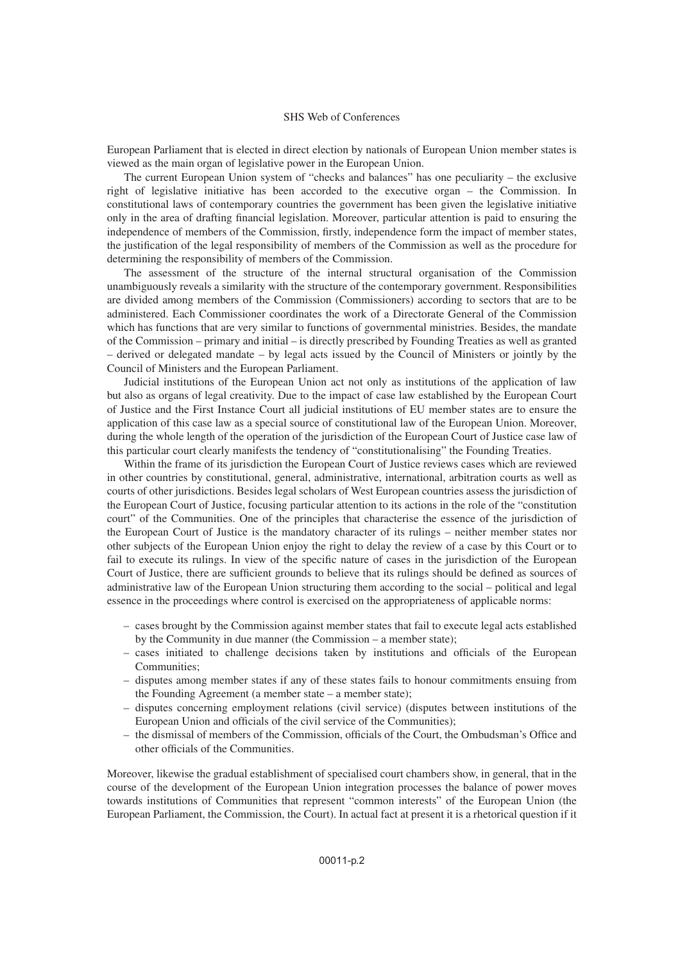#### SHS Web of Conferences

European Parliament that is elected in direct election by nationals of European Union member states is viewed as the main organ of legislative power in the European Union.

The current European Union system of "checks and balances" has one peculiarity – the exclusive right of legislative initiative has been accorded to the executive organ – the Commission. In constitutional laws of contemporary countries the government has been given the legislative initiative only in the area of drafting financial legislation. Moreover, particular attention is paid to ensuring the independence of members of the Commission, firstly, independence form the impact of member states, the justification of the legal responsibility of members of the Commission as well as the procedure for determining the responsibility of members of the Commission.

The assessment of the structure of the internal structural organisation of the Commission unambiguously reveals a similarity with the structure of the contemporary government. Responsibilities are divided among members of the Commission (Commissioners) according to sectors that are to be administered. Each Commissioner coordinates the work of a Directorate General of the Commission which has functions that are very similar to functions of governmental ministries. Besides, the mandate of the Commission – primary and initial – is directly prescribed by Founding Treaties as well as granted – derived or delegated mandate – by legal acts issued by the Council of Ministers or jointly by the Council of Ministers and the European Parliament.

Judicial institutions of the European Union act not only as institutions of the application of law but also as organs of legal creativity. Due to the impact of case law established by the European Court of Justice and the First Instance Court all judicial institutions of EU member states are to ensure the application of this case law as a special source of constitutional law of the European Union. Moreover, during the whole length of the operation of the jurisdiction of the European Court of Justice case law of this particular court clearly manifests the tendency of "constitutionalising" the Founding Treaties.

Within the frame of its jurisdiction the European Court of Justice reviews cases which are reviewed in other countries by constitutional, general, administrative, international, arbitration courts as well as courts of other jurisdictions. Besides legal scholars of West European countries assess the jurisdiction of the European Court of Justice, focusing particular attention to its actions in the role of the "constitution court" of the Communities. One of the principles that characterise the essence of the jurisdiction of the European Court of Justice is the mandatory character of its rulings – neither member states nor other subjects of the European Union enjoy the right to delay the review of a case by this Court or to fail to execute its rulings. In view of the specific nature of cases in the jurisdiction of the European Court of Justice, there are sufficient grounds to believe that its rulings should be defined as sources of administrative law of the European Union structuring them according to the social – political and legal essence in the proceedings where control is exercised on the appropriateness of applicable norms:

- cases brought by the Commission against member states that fail to execute legal acts established by the Community in due manner (the Commission – a member state);
- cases initiated to challenge decisions taken by institutions and officials of the European Communities;
- disputes among member states if any of these states fails to honour commitments ensuing from the Founding Agreement (a member state – a member state);
- disputes concerning employment relations (civil service) (disputes between institutions of the European Union and officials of the civil service of the Communities);
- the dismissal of members of the Commission, officials of the Court, the Ombudsman's Office and other officials of the Communities.

Moreover, likewise the gradual establishment of specialised court chambers show, in general, that in the course of the development of the European Union integration processes the balance of power moves towards institutions of Communities that represent "common interests" of the European Union (the European Parliament, the Commission, the Court). In actual fact at present it is a rhetorical question if it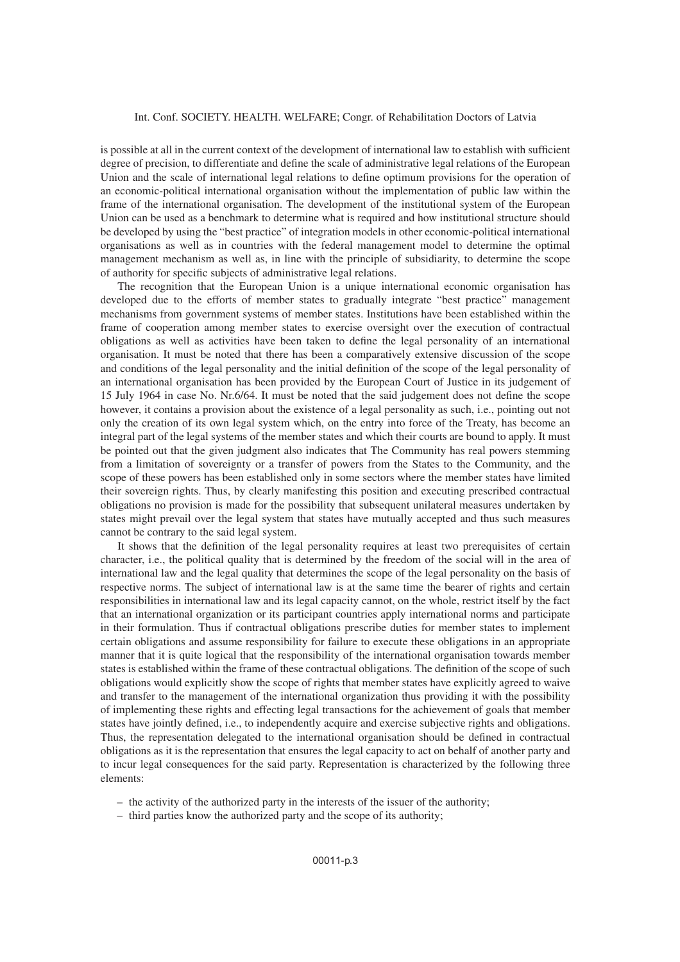#### Int. Conf. SOCIETY. HEALTH. WELFARE; Congr. of Rehabilitation Doctors of Latvia

is possible at all in the current context of the development of international law to establish with sufficient degree of precision, to differentiate and define the scale of administrative legal relations of the European Union and the scale of international legal relations to define optimum provisions for the operation of an economic-political international organisation without the implementation of public law within the frame of the international organisation. The development of the institutional system of the European Union can be used as a benchmark to determine what is required and how institutional structure should be developed by using the "best practice" of integration models in other economic-political international organisations as well as in countries with the federal management model to determine the optimal management mechanism as well as, in line with the principle of subsidiarity, to determine the scope of authority for specific subjects of administrative legal relations.

The recognition that the European Union is a unique international economic organisation has developed due to the efforts of member states to gradually integrate "best practice" management mechanisms from government systems of member states. Institutions have been established within the frame of cooperation among member states to exercise oversight over the execution of contractual obligations as well as activities have been taken to define the legal personality of an international organisation. It must be noted that there has been a comparatively extensive discussion of the scope and conditions of the legal personality and the initial definition of the scope of the legal personality of an international organisation has been provided by the European Court of Justice in its judgement of 15 July 1964 in case No. Nr.6/64. It must be noted that the said judgement does not define the scope however, it contains a provision about the existence of a legal personality as such, i.e., pointing out not only the creation of its own legal system which, on the entry into force of the Treaty, has become an integral part of the legal systems of the member states and which their courts are bound to apply. It must be pointed out that the given judgment also indicates that The Community has real powers stemming from a limitation of sovereignty or a transfer of powers from the States to the Community, and the scope of these powers has been established only in some sectors where the member states have limited their sovereign rights. Thus, by clearly manifesting this position and executing prescribed contractual obligations no provision is made for the possibility that subsequent unilateral measures undertaken by states might prevail over the legal system that states have mutually accepted and thus such measures cannot be contrary to the said legal system.

It shows that the definition of the legal personality requires at least two prerequisites of certain character, i.e., the political quality that is determined by the freedom of the social will in the area of international law and the legal quality that determines the scope of the legal personality on the basis of respective norms. The subject of international law is at the same time the bearer of rights and certain responsibilities in international law and its legal capacity cannot, on the whole, restrict itself by the fact that an international organization or its participant countries apply international norms and participate in their formulation. Thus if contractual obligations prescribe duties for member states to implement certain obligations and assume responsibility for failure to execute these obligations in an appropriate manner that it is quite logical that the responsibility of the international organisation towards member states is established within the frame of these contractual obligations. The definition of the scope of such obligations would explicitly show the scope of rights that member states have explicitly agreed to waive and transfer to the management of the international organization thus providing it with the possibility of implementing these rights and effecting legal transactions for the achievement of goals that member states have jointly defined, i.e., to independently acquire and exercise subjective rights and obligations. Thus, the representation delegated to the international organisation should be defined in contractual obligations as it is the representation that ensures the legal capacity to act on behalf of another party and to incur legal consequences for the said party. Representation is characterized by the following three elements:

- the activity of the authorized party in the interests of the issuer of the authority;
- third parties know the authorized party and the scope of its authority;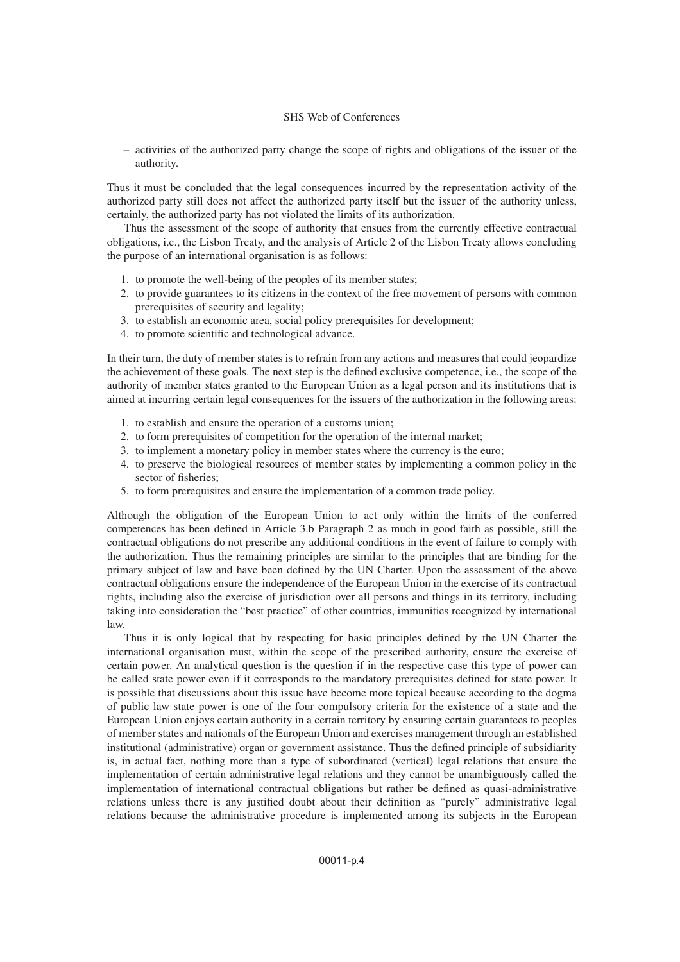## SHS Web of Conferences

– activities of the authorized party change the scope of rights and obligations of the issuer of the authority.

Thus it must be concluded that the legal consequences incurred by the representation activity of the authorized party still does not affect the authorized party itself but the issuer of the authority unless, certainly, the authorized party has not violated the limits of its authorization.

Thus the assessment of the scope of authority that ensues from the currently effective contractual obligations, i.e., the Lisbon Treaty, and the analysis of Article 2 of the Lisbon Treaty allows concluding the purpose of an international organisation is as follows:

- 1. to promote the well-being of the peoples of its member states;
- 2. to provide guarantees to its citizens in the context of the free movement of persons with common prerequisites of security and legality;
- 3. to establish an economic area, social policy prerequisites for development;
- 4. to promote scientific and technological advance.

In their turn, the duty of member states is to refrain from any actions and measures that could jeopardize the achievement of these goals. The next step is the defined exclusive competence, i.e., the scope of the authority of member states granted to the European Union as a legal person and its institutions that is aimed at incurring certain legal consequences for the issuers of the authorization in the following areas:

- 1. to establish and ensure the operation of a customs union;
- 2. to form prerequisites of competition for the operation of the internal market;
- 3. to implement a monetary policy in member states where the currency is the euro;
- 4. to preserve the biological resources of member states by implementing a common policy in the sector of fisheries;
- 5. to form prerequisites and ensure the implementation of a common trade policy.

Although the obligation of the European Union to act only within the limits of the conferred competences has been defined in Article 3.b Paragraph 2 as much in good faith as possible, still the contractual obligations do not prescribe any additional conditions in the event of failure to comply with the authorization. Thus the remaining principles are similar to the principles that are binding for the primary subject of law and have been defined by the UN Charter. Upon the assessment of the above contractual obligations ensure the independence of the European Union in the exercise of its contractual rights, including also the exercise of jurisdiction over all persons and things in its territory, including taking into consideration the "best practice" of other countries, immunities recognized by international law.

Thus it is only logical that by respecting for basic principles defined by the UN Charter the international organisation must, within the scope of the prescribed authority, ensure the exercise of certain power. An analytical question is the question if in the respective case this type of power can be called state power even if it corresponds to the mandatory prerequisites defined for state power. It is possible that discussions about this issue have become more topical because according to the dogma of public law state power is one of the four compulsory criteria for the existence of a state and the European Union enjoys certain authority in a certain territory by ensuring certain guarantees to peoples of member states and nationals of the European Union and exercises management through an established institutional (administrative) organ or government assistance. Thus the defined principle of subsidiarity is, in actual fact, nothing more than a type of subordinated (vertical) legal relations that ensure the implementation of certain administrative legal relations and they cannot be unambiguously called the implementation of international contractual obligations but rather be defined as quasi-administrative relations unless there is any justified doubt about their definition as "purely" administrative legal relations because the administrative procedure is implemented among its subjects in the European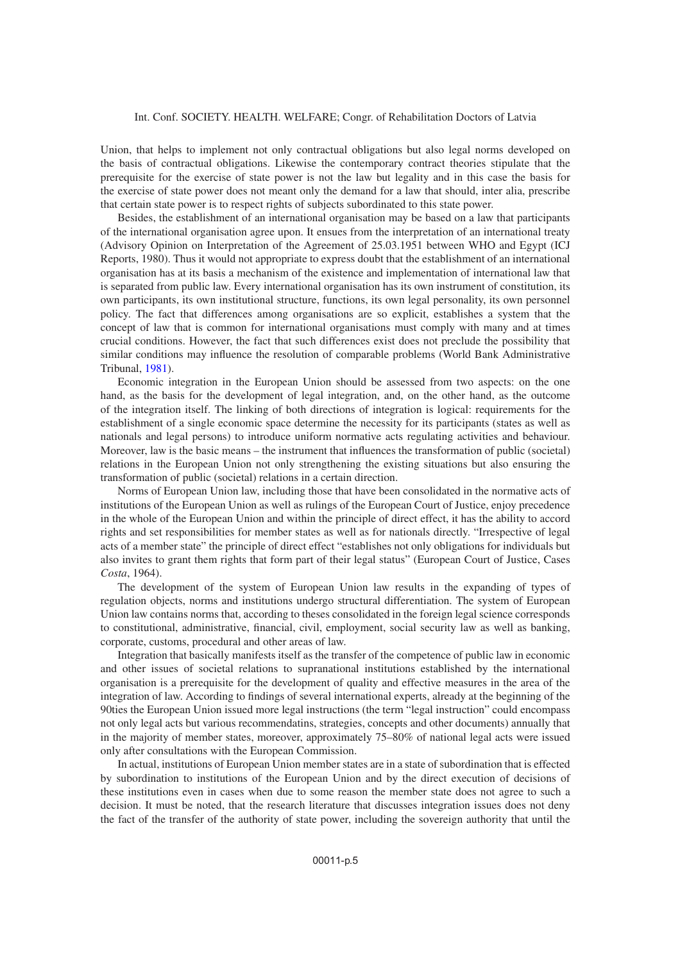#### Int. Conf. SOCIETY. HEALTH. WELFARE; Congr. of Rehabilitation Doctors of Latvia

Union, that helps to implement not only contractual obligations but also legal norms developed on the basis of contractual obligations. Likewise the contemporary contract theories stipulate that the prerequisite for the exercise of state power is not the law but legality and in this case the basis for the exercise of state power does not meant only the demand for a law that should, inter alia, prescribe that certain state power is to respect rights of subjects subordinated to this state power.

Besides, the establishment of an international organisation may be based on a law that participants of the international organisation agree upon. It ensues from the interpretation of an international treaty (Advisory Opinion on Interpretation of the Agreement of 25.03.1951 between WHO and Egypt (ICJ Reports, 1980). Thus it would not appropriate to express doubt that the establishment of an international organisation has at its basis a mechanism of the existence and implementation of international law that is separated from public law. Every international organisation has its own instrument of constitution, its own participants, its own institutional structure, functions, its own legal personality, its own personnel policy. The fact that differences among organisations are so explicit, establishes a system that the concept of law that is common for international organisations must comply with many and at times crucial conditions. However, the fact that such differences exist does not preclude the possibility that similar conditions may influence the resolution of comparable problems (World Bank Administrative Tribunal, [1981\)](#page-6-0).

Economic integration in the European Union should be assessed from two aspects: on the one hand, as the basis for the development of legal integration, and, on the other hand, as the outcome of the integration itself. The linking of both directions of integration is logical: requirements for the establishment of a single economic space determine the necessity for its participants (states as well as nationals and legal persons) to introduce uniform normative acts regulating activities and behaviour. Moreover, law is the basic means – the instrument that influences the transformation of public (societal) relations in the European Union not only strengthening the existing situations but also ensuring the transformation of public (societal) relations in a certain direction.

Norms of European Union law, including those that have been consolidated in the normative acts of institutions of the European Union as well as rulings of the European Court of Justice, enjoy precedence in the whole of the European Union and within the principle of direct effect, it has the ability to accord rights and set responsibilities for member states as well as for nationals directly. "Irrespective of legal acts of a member state" the principle of direct effect "establishes not only obligations for individuals but also invites to grant them rights that form part of their legal status" (European Court of Justice, Cases *Costa*, 1964).

The development of the system of European Union law results in the expanding of types of regulation objects, norms and institutions undergo structural differentiation. The system of European Union law contains norms that, according to theses consolidated in the foreign legal science corresponds to constitutional, administrative, financial, civil, employment, social security law as well as banking, corporate, customs, procedural and other areas of law.

Integration that basically manifests itself as the transfer of the competence of public law in economic and other issues of societal relations to supranational institutions established by the international organisation is a prerequisite for the development of quality and effective measures in the area of the integration of law. According to findings of several international experts, already at the beginning of the 90ties the European Union issued more legal instructions (the term "legal instruction" could encompass not only legal acts but various recommendatins, strategies, concepts and other documents) annually that in the majority of member states, moreover, approximately 75–80% of national legal acts were issued only after consultations with the European Commission.

In actual, institutions of European Union member states are in a state of subordination that is effected by subordination to institutions of the European Union and by the direct execution of decisions of these institutions even in cases when due to some reason the member state does not agree to such a decision. It must be noted, that the research literature that discusses integration issues does not deny the fact of the transfer of the authority of state power, including the sovereign authority that until the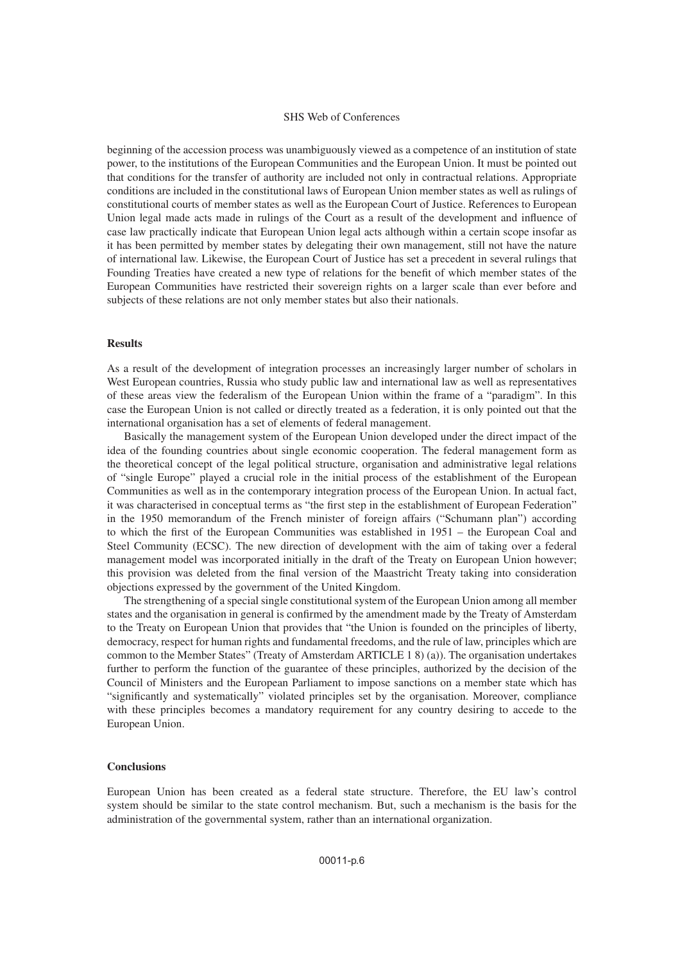#### SHS Web of Conferences

beginning of the accession process was unambiguously viewed as a competence of an institution of state power, to the institutions of the European Communities and the European Union. It must be pointed out that conditions for the transfer of authority are included not only in contractual relations. Appropriate conditions are included in the constitutional laws of European Union member states as well as rulings of constitutional courts of member states as well as the European Court of Justice. References to European Union legal made acts made in rulings of the Court as a result of the development and influence of case law practically indicate that European Union legal acts although within a certain scope insofar as it has been permitted by member states by delegating their own management, still not have the nature of international law. Likewise, the European Court of Justice has set a precedent in several rulings that Founding Treaties have created a new type of relations for the benefit of which member states of the European Communities have restricted their sovereign rights on a larger scale than ever before and subjects of these relations are not only member states but also their nationals.

## **Results**

As a result of the development of integration processes an increasingly larger number of scholars in West European countries, Russia who study public law and international law as well as representatives of these areas view the federalism of the European Union within the frame of a "paradigm". In this case the European Union is not called or directly treated as a federation, it is only pointed out that the international organisation has a set of elements of federal management.

Basically the management system of the European Union developed under the direct impact of the idea of the founding countries about single economic cooperation. The federal management form as the theoretical concept of the legal political structure, organisation and administrative legal relations of "single Europe" played a crucial role in the initial process of the establishment of the European Communities as well as in the contemporary integration process of the European Union. In actual fact, it was characterised in conceptual terms as "the first step in the establishment of European Federation" in the 1950 memorandum of the French minister of foreign affairs ("Schumann plan") according to which the first of the European Communities was established in 1951 – the European Coal and Steel Community (ECSC). The new direction of development with the aim of taking over a federal management model was incorporated initially in the draft of the Treaty on European Union however; this provision was deleted from the final version of the Maastricht Treaty taking into consideration objections expressed by the government of the United Kingdom.

The strengthening of a special single constitutional system of the European Union among all member states and the organisation in general is confirmed by the amendment made by the Treaty of Amsterdam to the Treaty on European Union that provides that "the Union is founded on the principles of liberty, democracy, respect for human rights and fundamental freedoms, and the rule of law, principles which are common to the Member States" (Treaty of Amsterdam ARTICLE 1 8) (a)). The organisation undertakes further to perform the function of the guarantee of these principles, authorized by the decision of the Council of Ministers and the European Parliament to impose sanctions on a member state which has "significantly and systematically" violated principles set by the organisation. Moreover, compliance with these principles becomes a mandatory requirement for any country desiring to accede to the European Union.

#### **Conclusions**

European Union has been created as a federal state structure. Therefore, the EU law's control system should be similar to the state control mechanism. But, such a mechanism is the basis for the administration of the governmental system, rather than an international organization.